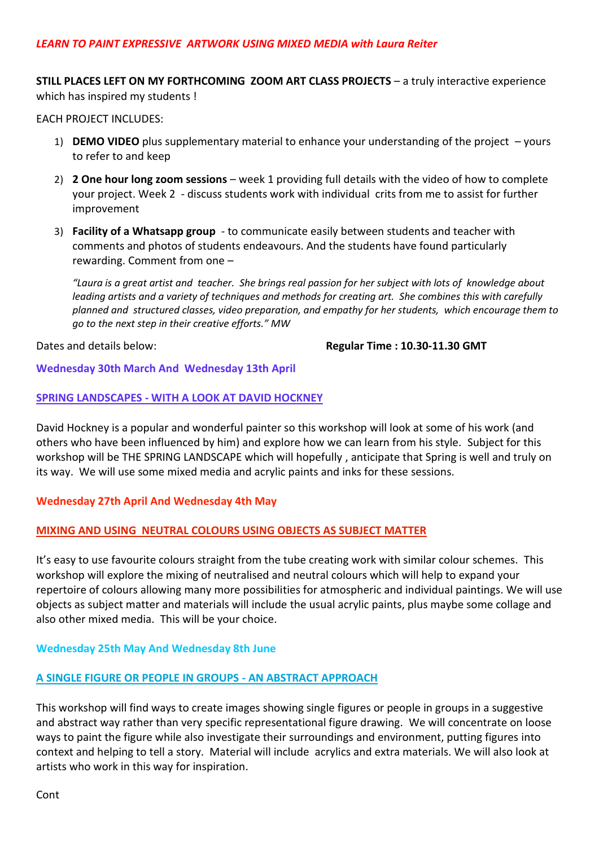**STILL PLACES LEFT ON MY FORTHCOMING ZOOM ART CLASS PROJECTS** – a truly interactive experience which has inspired my students !

EACH PROJECT INCLUDES:

- 1) **DEMO VIDEO** plus supplementary material to enhance your understanding of the project yours to refer to and keep
- 2) **2 One hour long zoom sessions** week 1 providing full details with the video of how to complete your project. Week 2 - discuss students work with individual crits from me to assist for further improvement
- 3) **Facility of a Whatsapp group** to communicate easily between students and teacher with comments and photos of students endeavours. And the students have found particularly rewarding. Comment from one –

*"Laura is a great artist and teacher. She brings real passion for her subject with lots of knowledge about leading artists and a variety of techniques and methods for creating art. She combines this with carefully planned and structured classes, video preparation, and empathy for her students, which encourage them to go to the next step in their creative efforts." MW*

Dates and details below: **Regular Time : 10.30-11.30 GMT** 

# **Wednesday 30th March And Wednesday 13th April**

## **SPRING LANDSCAPES - WITH A LOOK AT DAVID HOCKNEY**

David Hockney is a popular and wonderful painter so this workshop will look at some of his work (and others who have been influenced by him) and explore how we can learn from his style. Subject for this workshop will be THE SPRING LANDSCAPE which will hopefully , anticipate that Spring is well and truly on its way. We will use some mixed media and acrylic paints and inks for these sessions.

# **Wednesday 27th April And Wednesday 4th May**

# **MIXING AND USING NEUTRAL COLOURS USING OBJECTS AS SUBJECT MATTER**

It's easy to use favourite colours straight from the tube creating work with similar colour schemes. This workshop will explore the mixing of neutralised and neutral colours which will help to expand your repertoire of colours allowing many more possibilities for atmospheric and individual paintings. We will use objects as subject matter and materials will include the usual acrylic paints, plus maybe some collage and also other mixed media. This will be your choice.

# **Wednesday 25th May And Wednesday 8th June**

# **A SINGLE FIGURE OR PEOPLE IN GROUPS - AN ABSTRACT APPROACH**

This workshop will find ways to create images showing single figures or people in groups in a suggestive and abstract way rather than very specific representational figure drawing. We will concentrate on loose ways to paint the figure while also investigate their surroundings and environment, putting figures into context and helping to tell a story. Material will include acrylics and extra materials. We will also look at artists who work in this way for inspiration.